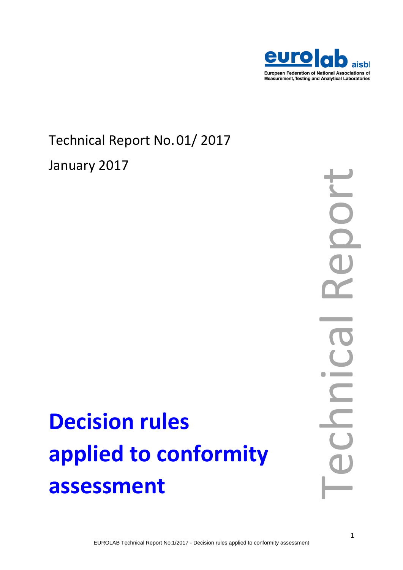

### Technical Report No.01/ 2017 January 2017

# port Technical Report

## **Decision rules applied to conformity assessment**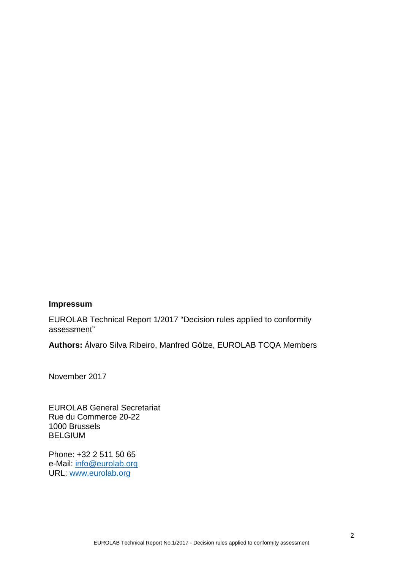#### **Impressum**

EUROLAB Technical Report 1/2017 "Decision rules applied to conformity assessment"

**Authors:** Álvaro Silva Ribeiro, Manfred Gölze, EUROLAB TCQA Members

November 2017

EUROLAB General Secretariat Rue du Commerce 20-22 1000 Brussels BELGIUM

Phone: +32 2 511 50 65 e-Mail: [info@eurolab.org](mailto:info@eurolab.org) URL: [www.eurolab.org](http://www.eurolab.org/)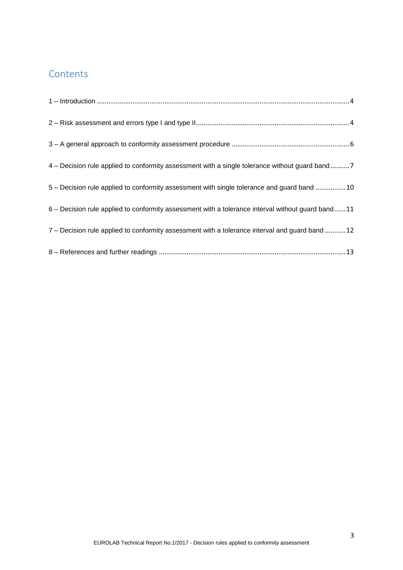#### **Contents**

| 4 – Decision rule applied to conformity assessment with a single tolerance without guard band7    |
|---------------------------------------------------------------------------------------------------|
| 5 - Decision rule applied to conformity assessment with single tolerance and guard band  10       |
| 6 – Decision rule applied to conformity assessment with a tolerance interval without guard band11 |
| 7 - Decision rule applied to conformity assessment with a tolerance interval and guard band 12    |
|                                                                                                   |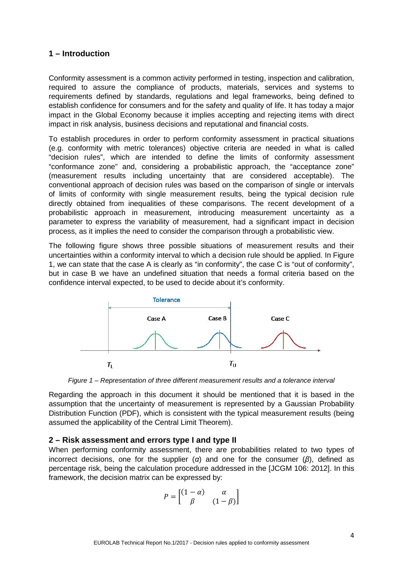#### <span id="page-3-0"></span>**1 – Introduction**

Conformity assessment is a common activity performed in testing, inspection and calibration, required to assure the compliance of products, materials, services and systems to requirements defined by standards, regulations and legal frameworks, being defined to establish confidence for consumers and for the safety and quality of life. It has today a major impact in the Global Economy because it implies accepting and rejecting items with direct impact in risk analysis, business decisions and reputational and financial costs.

To establish procedures in order to perform conformity assessment in practical situations (e.g. conformity with metric tolerances) objective criteria are needed in what is called "decision rules", which are intended to define the limits of conformity assessment "conformance zone" and, considering a probabilistic approach, the "acceptance zone" (measurement results including uncertainty that are considered acceptable). The conventional approach of decision rules was based on the comparison of single or intervals of limits of conformity with single measurement results, being the typical decision rule directly obtained from inequalities of these comparisons. The recent development of a probabilistic approach in measurement, introducing measurement uncertainty as a parameter to express the variability of measurement, had a significant impact in decision process, as it implies the need to consider the comparison through a probabilistic view.

The following figure shows three possible situations of measurement results and their uncertainties within a conformity interval to which a decision rule should be applied. In Figure 1, we can state that the case A is clearly as "in conformity", the case C is "out of conformity", but in case B we have an undefined situation that needs a formal criteria based on the confidence interval expected, to be used to decide about it's conformity.



*Figure 1 – Representation of three different measurement results and a tolerance interval*

Regarding the approach in this document it should be mentioned that it is based in the assumption that the uncertainty of measurement is represented by a Gaussian Probability Distribution Function (PDF), which is consistent with the typical measurement results (being assumed the applicability of the Central Limit Theorem).

#### <span id="page-3-1"></span>**2 – Risk assessment and errors type I and type II**

When performing conformity assessment, there are probabilities related to two types of incorrect decisions, one for the supplier (*α*) and one for the consumer (*β*), defined as percentage risk, being the calculation procedure addressed in the [JCGM 106: 2012]. In this framework, the decision matrix can be expressed by:

$$
P = \begin{bmatrix} (1 - \alpha) & \alpha \\ \beta & (1 - \beta) \end{bmatrix}
$$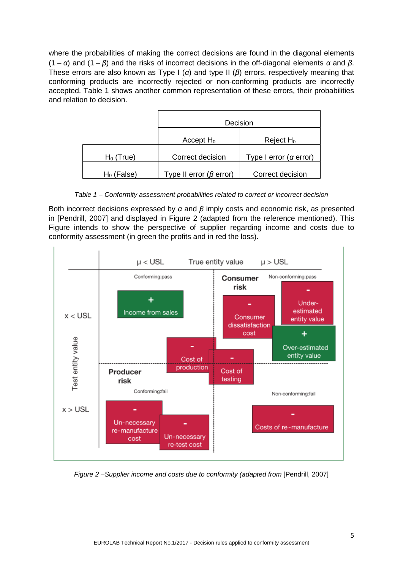where the probabilities of making the correct decisions are found in the diagonal elements (1 – *α*) and (1 – *β*) and the risks of incorrect decisions in the off-diagonal elements *α* and *β*. These errors are also known as Type I (*α*) and type II (*β*) errors, respectively meaning that conforming products are incorrectly rejected or non-conforming products are incorrectly accepted. Table 1 shows another common representation of these errors, their probabilities and relation to decision.

|               | Decision                       |                          |
|---------------|--------------------------------|--------------------------|
|               | Accept $H_0$                   | Reject $H_0$             |
| $H_0$ (True)  | Correct decision               | Type I error $(a$ error) |
| $H_0$ (False) | Type II error ( $\beta$ error) | Correct decision         |

*Table 1 – Conformity assessment probabilities related to correct or incorrect decision*

Both incorrect decisions expressed by *α* and *β* imply costs and economic risk, as presented in [Pendrill, 2007] and displayed in Figure 2 (adapted from the reference mentioned). This Figure intends to show the perspective of supplier regarding income and costs due to conformity assessment (in green the profits and in red the loss).



*Figure 2 –Supplier income and costs due to conformity (adapted from [Pendrill, 2007]*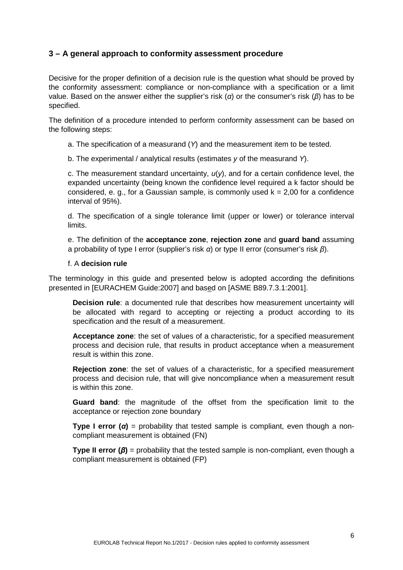#### <span id="page-5-0"></span>**3 – A general approach to conformity assessment procedure**

Decisive for the proper definition of a decision rule is the question what should be proved by the conformity assessment: compliance or non-compliance with a specification or a limit value. Based on the answer either the supplier's risk (*α*) or the consumer's risk (*β*) has to be specified.

The definition of a procedure intended to perform conformity assessment can be based on the following steps:

a. The specification of a measurand (*Y*) and the measurement item to be tested.

b. The experimental / analytical results (estimates *y* of the measurand *Y*).

c. The measurement standard uncertainty, *u*(*y*), and for a certain confidence level, the expanded uncertainty (being known the confidence level required a k factor should be considered, e. g., for a Gaussian sample, is commonly used  $k = 2.00$  for a confidence interval of 95%).

d. The specification of a single tolerance limit (upper or lower) or tolerance interval limits.

e. The definition of the **acceptance zone**, **rejection zone** and **guard band** assuming a probability of type I error (supplier's risk *α*) or type II error (consumer's risk *β*).

#### f. A **decision rule**

The terminology in this guide and presented below is adopted according the definitions presented in [EURACHEM Guide:2007] and based on [ASME B89.7.3.1:2001].

**Decision rule**: a documented rule that describes how measurement uncertainty will be allocated with regard to accepting or rejecting a product according to its specification and the result of a measurement.

**Acceptance zone**: the set of values of a characteristic, for a specified measurement process and decision rule, that results in product acceptance when a measurement result is within this zone.

**Rejection zone**: the set of values of a characteristic, for a specified measurement process and decision rule, that will give noncompliance when a measurement result is within this zone.

**Guard band**: the magnitude of the offset from the specification limit to the acceptance or rejection zone boundary

**Type I error**  $(a)$  = probability that tested sample is compliant, even though a noncompliant measurement is obtained (FN)

**Type II error (***β***)** = probability that the tested sample is non-compliant, even though a compliant measurement is obtained (FP)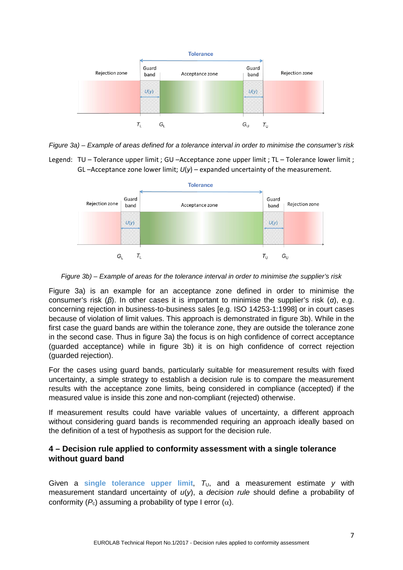

*Figure 3a) – Example of areas defined for a tolerance interval in order to minimise the consumer's risk*

Legend: TU – Tolerance upper limit ; GU –Acceptance zone upper limit ; TL – Tolerance lower limit ; GL –Acceptance zone lower limit;  $U(y)$  – expanded uncertainty of the measurement.



*Figure 3b) – Example of areas for the tolerance interval in order to minimise the supplier's risk*

Figure 3a) is an example for an acceptance zone defined in order to minimise the consumer's risk (*β*). In other cases it is important to minimise the supplier's risk (*α*), e.g. concerning rejection in business-to-business sales [e.g. ISO 14253-1:1998] or in court cases because of violation of limit values. This approach is demonstrated in figure 3b). While in the first case the guard bands are within the tolerance zone, they are outside the tolerance zone in the second case. Thus in figure 3a) the focus is on high confidence of correct acceptance (guarded acceptance) while in figure 3b) it is on high confidence of correct rejection (guarded rejection).

For the cases using guard bands, particularly suitable for measurement results with fixed uncertainty, a simple strategy to establish a decision rule is to compare the measurement results with the acceptance zone limits, being considered in compliance (accepted) if the measured value is inside this zone and non-compliant (rejected) otherwise.

If measurement results could have variable values of uncertainty, a different approach without considering guard bands is recommended requiring an approach ideally based on the definition of a test of hypothesis as support for the decision rule.

#### <span id="page-6-0"></span>**4 – Decision rule applied to conformity assessment with a single tolerance without guard band**

Given a single tolerance upper limit,  $T_U$ , and a measurement estimate  $y$  with measurement standard uncertainty of *u*(*y*), a *decision rule* should define a probability of conformity  $(P_c)$  assuming a probability of type I error  $(\alpha)$ .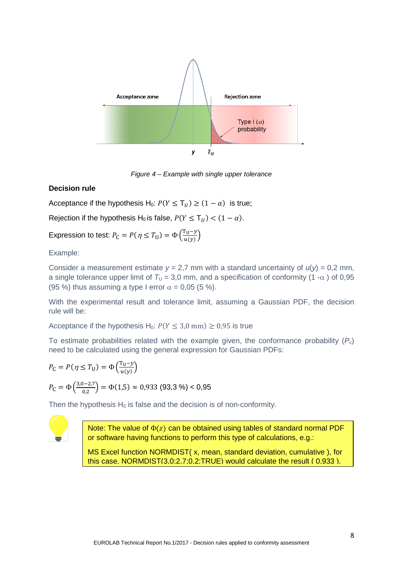

*Figure 4 – Example with single upper tolerance*

#### **Decision rule**

Acceptance if the hypothesis H<sub>0</sub>:  $P(Y \leq T_U) \geq (1 - \alpha)$  is true;

Rejection if the hypothesis H<sub>0</sub> is false,  $P(Y \leq T_{II}) < (1 - \alpha)$ .

Expression to test:  $P_C = P(\eta \leq T_U) = \Phi\left(\frac{T_U - y}{u(y)}\right)$ 

Example:

Consider a measurement estimate  $y = 2.7$  mm with a standard uncertainty of  $u(y) = 0.2$  mm, a single tolerance upper limit of  $T_U = 3.0$  mm, and a specification of conformity (1 - $\alpha$ ) of 0.95 (95 %) thus assuming a type I error  $\alpha = 0.05$  (5 %).

With the experimental result and tolerance limit, assuming a Gaussian PDF, the decision rule will be:

Acceptance if the hypothesis H<sub>0</sub>:  $P(Y \le 3.0 \text{ mm}) \ge 0.95$  is true

To estimate probabilities related with the example given, the conformance probability (*P*c) need to be calculated using the general expression for Gaussian PDFs:

$$
P_{\rm C} = P(\eta \le T_{\rm U}) = \Phi\left(\frac{T_{\rm U} - y}{u(y)}\right)
$$
  

$$
P_{\rm C} = \Phi\left(\frac{3.0 - 2.7}{0.2}\right) = \Phi(1.5) \approx 0.933 \text{ (93.3%)} < 0.95
$$

Then the hypothesis  $H_0$  is false and the decision is of non-conformity.



Note: The value of  $\Phi(z)$  can be obtained using tables of standard normal PDF or software having functions to perform this type of calculations, e.g.:

MS Excel function NORMDIST( x, mean, standard deviation, cumulative ), for this case, NORMDIST(3,0;2,7;0,2;TRUE) would calculate the result ( 0,933 ).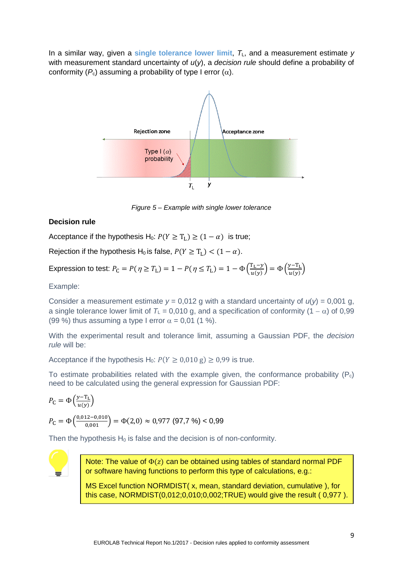In a similar way, given a **single tolerance lower limit**, *T*L, and a measurement estimate *y* with measurement standard uncertainty of *u*(*y*), a *decision rule* should define a probability of conformity  $(P_c)$  assuming a probability of type I error  $(\alpha)$ .



*Figure 5 – Example with single lower tolerance*

#### **Decision rule**

Acceptance if the hypothesis H<sub>0</sub>:  $P(Y \geq T_L) \geq (1 - \alpha)$  is true;

Rejection if the hypothesis H<sub>0</sub> is false,  $P(Y \ge T_L) < (1 - \alpha)$ .

Expression to test:  $P_{\text{C}} = P(\eta \geq T_{\text{L}}) = 1 - P(\eta \leq T_{\text{L}}) = 1 - \Phi\left(\frac{T_{\text{L}} - \gamma}{u(\gamma)}\right)$  $\left(\frac{y-T_L}{u(y)}\right) = \Phi\left(\frac{y-T_L}{u(y)}\right)$  $\frac{1}{u(y)}$ 

Example:

Consider a measurement estimate  $y = 0.012$  g with a standard uncertainty of  $u(y) = 0.001$  g, a single tolerance lower limit of  $T_{\text{L}} = 0.010$  g, and a specification of conformity (1 –  $\alpha$ ) of 0,99 (99 %) thus assuming a type I error  $\alpha = 0.01$  (1 %).

With the experimental result and tolerance limit, assuming a Gaussian PDF, the *decision rule* will be:

Acceptance if the hypothesis H<sub>0</sub>:  $P(Y \ge 0.010 \text{ g}) \ge 0.99$  is true.

To estimate probabilities related with the example given, the conformance probability  $(P_c)$ need to be calculated using the general expression for Gaussian PDF:

$$
P_{\rm C} = \Phi\left(\frac{y - T_{\rm L}}{u(y)}\right)
$$
  

$$
P_{\rm C} = \Phi\left(\frac{0.012 - 0.010}{0.001}\right) = \Phi(2.0) \approx 0.977 \text{ (97.7%)} < 0.99
$$

Then the hypothesis  $H_0$  is false and the decision is of non-conformity.



Note: The value of  $\Phi(z)$  can be obtained using tables of standard normal PDF or software having functions to perform this type of calculations, e.g.:

MS Excel function NORMDIST( x, mean, standard deviation, cumulative ), for this case, NORMDIST(0,012;0,010;0,002;TRUE) would give the result ( 0,977 ).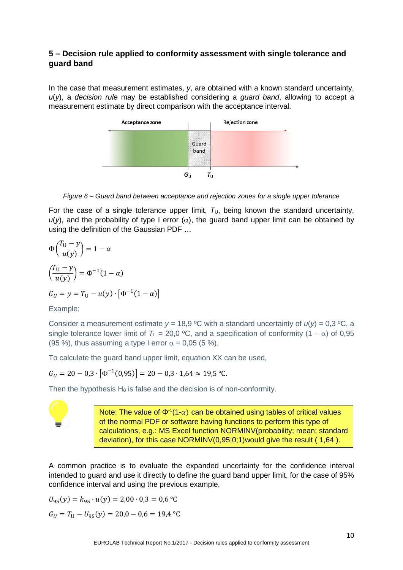#### <span id="page-9-0"></span>**5 – Decision rule applied to conformity assessment with single tolerance and guard band**

In the case that measurement estimates, *y*, are obtained with a known standard uncertainty, *u*(*y*), a *decision rule* may be established considering a *guard band*, allowing to accept a measurement estimate by direct comparison with the acceptance interval.



*Figure 6 – Guard band between acceptance and rejection zones for a single upper tolerance*

For the case of a single tolerance upper limit,  $T_U$ , being known the standard uncertainty,  $u(y)$ , and the probability of type I error ( $\alpha$ ), the guard band upper limit can be obtained by using the definition of the Gaussian PDF …

$$
\Phi\left(\frac{T_U - y}{u(y)}\right) = 1 - \alpha
$$
  

$$
\left(\frac{T_U - y}{u(y)}\right) = \Phi^{-1}(1 - \alpha)
$$
  

$$
G_U = y = T_U - u(y) \cdot \left[\Phi^{-1}(1 - \alpha)\right]
$$

Example:

Consider a measurement estimate  $y = 18.9$  °C with a standard uncertainty of  $u(y) = 0.3$  °C, a single tolerance lower limit of  $T_L = 20.0 \degree C$ , and a specification of conformity (1 –  $\alpha$ ) of 0,95 (95 %), thus assuming a type I error  $\alpha = 0.05$  (5 %).

To calculate the guard band upper limit, equation XX can be used,

$$
G_U = 20 - 0.3 \cdot [\Phi^{-1}(0.95)] = 20 - 0.3 \cdot 1.64 \approx 19.5 \text{ °C}.
$$

Then the hypothesis  $H_0$  is false and the decision is of non-conformity.



Note: The value of  $\Phi^1(1-\alpha)$  can be obtained using tables of critical values of the normal PDF or software having functions to perform this type of calculations, e.g.: MS Excel function NORMINV(probability; mean; standard deviation), for this case NORMINV(0,95;0;1)would give the result ( 1,64 ).

A common practice is to evaluate the expanded uncertainty for the confidence interval intended to guard and use it directly to define the guard band upper limit, for the case of 95% confidence interval and using the previous example,

$$
U_{95}(y) = k_{95} \cdot u(y) = 2,00 \cdot 0,3 = 0,6 \text{ °C}
$$

$$
G_U = T_U - U_{95}(y) = 20,0 - 0,6 = 19,4 \text{ °C}
$$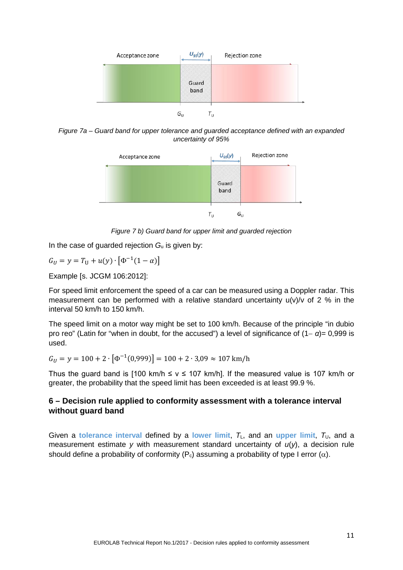

*Figure 7a – Guard band for upper tolerance and guarded acceptance defined with an expanded uncertainty of 95%*



*Figure 7 b) Guard band for upper limit and guarded rejection* 

In the case of guarded rejection *G*<sup>u</sup> is given by:

$$
G_U = y = T_U + u(y) \cdot [\Phi^{-1}(1 - \alpha)]
$$

Example [s. JCGM 106:2012]:

For speed limit enforcement the speed of a car can be measured using a Doppler radar. This measurement can be performed with a relative standard uncertainty  $u(v)/v$  of 2 % in the interval 50 km/h to 150 km/h.

The speed limit on a motor way might be set to 100 km/h. Because of the principle "in dubio pro reo" (Latin for "when in doubt, for the accused") a level of significance of (1− *α*)= 0,999 is used.

 $G_{II} = y = 100 + 2 \cdot [\Phi^{-1}(0.999)] = 100 + 2 \cdot 3.09 \approx 107 \text{ km/h}$ 

Thus the guard band is [100 km/h  $\leq v \leq 107$  km/h]. If the measured value is 107 km/h or greater, the probability that the speed limit has been exceeded is at least 99.9 %.

#### <span id="page-10-0"></span>**6 – Decision rule applied to conformity assessment with a tolerance interval without guard band**

Given a tolerance interval defined by a lower limit,  $T_L$ , and an upper limit,  $T_U$ , and a measurement estimate *y* with measurement standard uncertainty of  $u(y)$ , a decision rule should define a probability of conformity ( $P_c$ ) assuming a probability of type I error ( $\alpha$ ).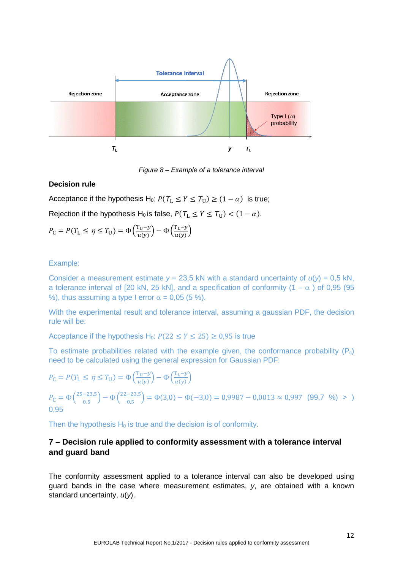

*Figure 8 – Example of a tolerance interval*

#### **Decision rule**

Acceptance if the hypothesis H<sub>0</sub>:  $P(T_L \le Y \le T_U) \ge (1 - \alpha)$  is true; Rejection if the hypothesis H<sub>0</sub> is false,  $P(T_L \le Y \le T_U) < (1 - \alpha)$ .

$$
P_{\mathcal{C}} = P(T_{\mathcal{L}} \le \eta \le T_{\mathcal{U}}) = \Phi\left(\frac{T_{\mathcal{U}} - y}{u(y)}\right) - \Phi\left(\frac{T_{\mathcal{L}} - y}{u(y)}\right)
$$

#### Example:

Consider a measurement estimate  $y = 23.5$  kN with a standard uncertainty of  $u(y) = 0.5$  kN, a tolerance interval of [20 kN, 25 kN], and a specification of conformity (1 –  $\alpha$  ) of 0,95 (95 %), thus assuming a type I error  $\alpha = 0.05$  (5 %).

With the experimental result and tolerance interval, assuming a gaussian PDF, the decision rule will be:

Acceptance if the hypothesis H<sub>0</sub>:  $P(22 \le Y \le 25) \ge 0.95$  is true

To estimate probabilities related with the example given, the conformance probability  $(P_c)$ need to be calculated using the general expression for Gaussian PDF:

$$
P_{\rm C} = P(T_{\rm L} \le \eta \le T_{\rm U}) = \Phi\left(\frac{T_{\rm U} - \gamma}{u(\gamma)}\right) - \Phi\left(\frac{T_{\rm L} - \gamma}{u(\gamma)}\right)
$$
  
\n
$$
P_{\rm C} = \Phi\left(\frac{25 - 23.5}{0.5}\right) - \Phi\left(\frac{22 - 23.5}{0.5}\right) = \Phi(3.0) - \Phi(-3.0) = 0.9987 - 0.0013 \approx 0.997 \quad (99.7 \text{ %}) > 0.95
$$

Then the hypothesis  $H_0$  is true and the decision is of conformity.

#### <span id="page-11-0"></span>**7 – Decision rule applied to conformity assessment with a tolerance interval and guard band**

The conformity assessment applied to a tolerance interval can also be developed using guard bands in the case where measurement estimates, *y*, are obtained with a known standard uncertainty, *u*(*y*).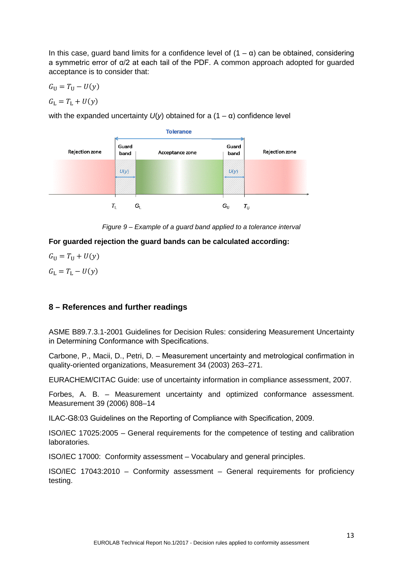In this case, guard band limits for a confidence level of  $(1 – α)$  can be obtained, considering a symmetric error of α/2 at each tail of the PDF. A common approach adopted for guarded acceptance is to consider that:

$$
G_{\mathrm{U}}=T_{\mathrm{U}}-U(y)
$$

$$
G_{\rm L}=T_{\rm L}+U(y)
$$

with the expanded uncertainty  $U(y)$  obtained for a  $(1 - \alpha)$  confidence level



*Figure 9 – Example of a guard band applied to a tolerance interval*

**For guarded rejection the guard bands can be calculated according:**

 $G_{\text{U}} = T_{\text{U}} + U(y)$  $G_{\rm L} = T_{\rm L} - U(\nu)$ 

#### <span id="page-12-0"></span>**8 – References and further readings**

ASME B89.7.3.1-2001 Guidelines for Decision Rules: considering Measurement Uncertainty in Determining Conformance with Specifications.

Carbone, P., Macii, D., Petri, D. – Measurement uncertainty and metrological confirmation in quality-oriented organizations, Measurement 34 (2003) 263–271.

EURACHEM/CITAC Guide: use of uncertainty information in compliance assessment, 2007.

Forbes, A. B. – Measurement uncertainty and optimized conformance assessment. Measurement 39 (2006) 808–14

ILAC-G8:03 Guidelines on the Reporting of Compliance with Specification, 2009.

ISO/IEC 17025:2005 – General requirements for the competence of testing and calibration laboratories.

ISO/IEC 17000: Conformity assessment – Vocabulary and general principles.

ISO/IEC 17043:2010 – Conformity assessment – General requirements for proficiency testing.